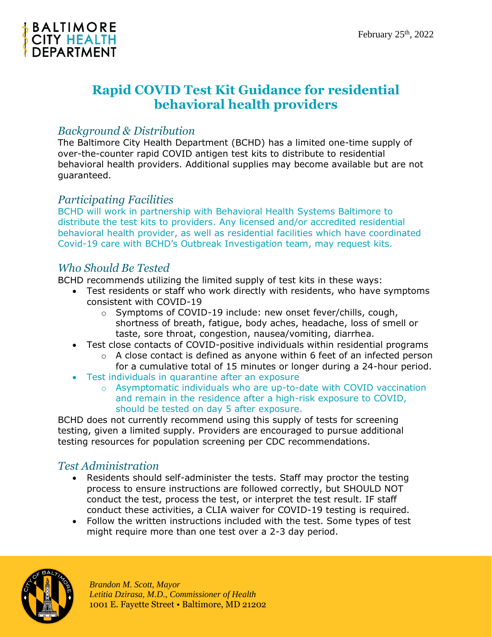

# **Rapid COVID Test Kit Guidance for residential behavioral health providers**

## *Background & Distribution*

The Baltimore City Health Department (BCHD) has a limited one-time supply of over-the-counter rapid COVID antigen test kits to distribute to residential behavioral health providers. Additional supplies may become available but are not guaranteed.

### *Participating Facilities*

BCHD will work in partnership with Behavioral Health Systems Baltimore to distribute the test kits to providers. Any licensed and/or accredited residential behavioral health provider, as well as residential facilities which have coordinated Covid-19 care with BCHD's Outbreak Investigation team, may request kits.

#### *Who Should Be Tested*

BCHD recommends utilizing the limited supply of test kits in these ways:

- Test residents or staff who work directly with residents, who have symptoms consistent with COVID-19
	- o Symptoms of COVID-19 include: new onset fever/chills, cough, shortness of breath, fatigue, body aches, headache, loss of smell or taste, sore throat, congestion, nausea/vomiting, diarrhea.
- Test close contacts of COVID-positive individuals within residential programs
	- $\circ$  A close contact is defined as anyone within 6 feet of an infected person for a cumulative total of 15 minutes or longer during a 24-hour period.
- Test individuals in quarantine after an exposure
	- $\circ$  Asymptomatic individuals who are up-to-date with COVID vaccination and remain in the residence after a high-risk exposure to COVID, should be tested on day 5 after exposure.

BCHD does not currently recommend using this supply of tests for screening testing, given a limited supply. Providers are encouraged to pursue additional testing resources for population screening per CDC recommendations.

## *Test Administration*

- Residents should self-administer the tests. Staff may proctor the testing process to ensure instructions are followed correctly, but SHOULD NOT conduct the test, process the test, or interpret the test result. IF staff conduct these activities, a CLIA waiver for COVID-19 testing is required.
- Follow the written instructions included with the test. Some types of test might require more than one test over a 2-3 day period.